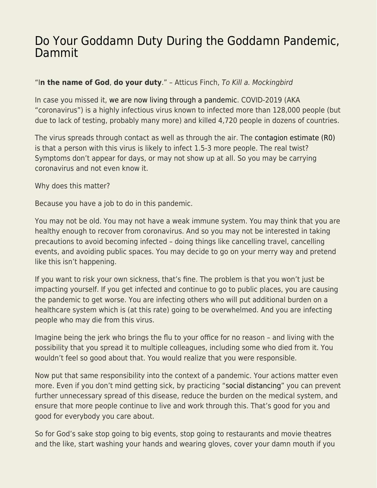## [Do Your Goddamn Duty During the Goddamn Pandemic,](https://everything-voluntary.com/do-your-goddamn-duty-during-the-goddamn-pandemic-dammit) [Dammit](https://everything-voluntary.com/do-your-goddamn-duty-during-the-goddamn-pandemic-dammit)

## "I**n the name of God**, **do your duty**." – Atticus Finch, To Kill a. Mockingbird

In case you missed it, [we are now living through a pandemic](https://taylorpearson.me/corona/). COVID-2019 (AKA "coronavirus") is a highly infectious virus known to infected more than 128,000 people (but due to lack of testing, probably many more) and killed 4,720 people in dozens of countries.

The virus spreads through contact as well as through the air. The [contagion estimate \(R0\)](https://www.ncbi.nlm.nih.gov/pubmed/32007643) is that a person with this virus is likely to infect 1.5-3 more people. The real twist? Symptoms don't appear for days, or may not show up at all. So you may be carrying coronavirus and not even know it.

Why does this matter?

Because you have a job to do in this pandemic.

You may not be old. You may not have a weak immune system. You may think that you are healthy enough to recover from coronavirus. And so you may not be interested in taking precautions to avoid becoming infected – doing things like cancelling travel, cancelling events, and avoiding public spaces. You may decide to go on your merry way and pretend like this isn't happening.

If you want to risk your own sickness, that's fine. The problem is that you won't just be impacting yourself. If you get infected and continue to go to public places, you are causing the pandemic to get worse. You are infecting others who will put additional burden on a healthcare system which is (at this rate) going to be overwhelmed. And you are infecting people who may die from this virus.

Imagine being the jerk who brings the flu to your office for no reason – and living with the possibility that you spread it to multiple colleagues, including some who died from it. You wouldn't feel so good about that. You would realize that you were responsible.

Now put that same responsibility into the context of a pandemic. Your actions matter even more. Even if you don't mind getting sick, by practicing "[social distancing"](https://www.theatlantic.com/family/archive/2020/03/coronavirus-what-does-social-distancing-mean/607927/) you can prevent further unnecessary spread of this disease, reduce the burden on the medical system, and ensure that more people continue to live and work through this. That's good for you and good for everybody you care about.

So for God's sake stop going to big events, stop going to restaurants and movie theatres and the like, start washing your hands and wearing gloves, cover your damn mouth if you